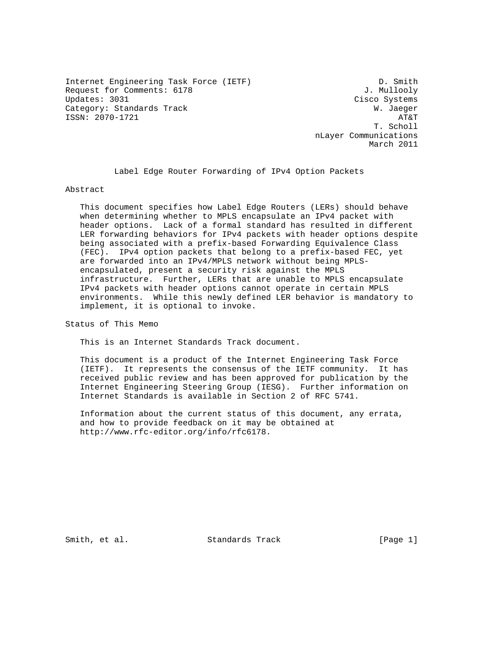Internet Engineering Task Force (IETF) D. Smith Request for Comments: 6178 J. Mullooly Category: Standards Track W. Jaeger ISSN: 2070-1721 AT&T

Cisco Systems T. Scholl nLayer Communications March 2011

Label Edge Router Forwarding of IPv4 Option Packets

Abstract

 This document specifies how Label Edge Routers (LERs) should behave when determining whether to MPLS encapsulate an IPv4 packet with header options. Lack of a formal standard has resulted in different LER forwarding behaviors for IPv4 packets with header options despite being associated with a prefix-based Forwarding Equivalence Class (FEC). IPv4 option packets that belong to a prefix-based FEC, yet are forwarded into an IPv4/MPLS network without being MPLS encapsulated, present a security risk against the MPLS infrastructure. Further, LERs that are unable to MPLS encapsulate IPv4 packets with header options cannot operate in certain MPLS environments. While this newly defined LER behavior is mandatory to implement, it is optional to invoke.

Status of This Memo

This is an Internet Standards Track document.

 This document is a product of the Internet Engineering Task Force (IETF). It represents the consensus of the IETF community. It has received public review and has been approved for publication by the Internet Engineering Steering Group (IESG). Further information on Internet Standards is available in Section 2 of RFC 5741.

 Information about the current status of this document, any errata, and how to provide feedback on it may be obtained at http://www.rfc-editor.org/info/rfc6178.

Smith, et al. Standards Track [Page 1]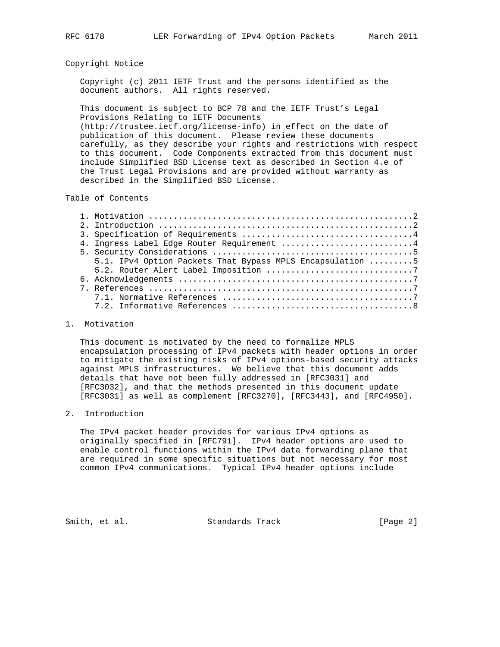## Copyright Notice

 Copyright (c) 2011 IETF Trust and the persons identified as the document authors. All rights reserved.

 This document is subject to BCP 78 and the IETF Trust's Legal Provisions Relating to IETF Documents (http://trustee.ietf.org/license-info) in effect on the date of publication of this document. Please review these documents carefully, as they describe your rights and restrictions with respect to this document. Code Components extracted from this document must include Simplified BSD License text as described in Section 4.e of the Trust Legal Provisions and are provided without warranty as described in the Simplified BSD License.

Table of Contents

|  | 4. Ingress Label Edge Router Requirement 4                |
|--|-----------------------------------------------------------|
|  |                                                           |
|  | 5.1. IPv4 Option Packets That Bypass MPLS Encapsulation 5 |
|  |                                                           |
|  |                                                           |
|  |                                                           |
|  |                                                           |
|  |                                                           |
|  |                                                           |

#### 1. Motivation

 This document is motivated by the need to formalize MPLS encapsulation processing of IPv4 packets with header options in order to mitigate the existing risks of IPv4 options-based security attacks against MPLS infrastructures. We believe that this document adds details that have not been fully addressed in [RFC3031] and [RFC3032], and that the methods presented in this document update [RFC3031] as well as complement [RFC3270], [RFC3443], and [RFC4950].

### 2. Introduction

 The IPv4 packet header provides for various IPv4 options as originally specified in [RFC791]. IPv4 header options are used to enable control functions within the IPv4 data forwarding plane that are required in some specific situations but not necessary for most common IPv4 communications. Typical IPv4 header options include

Smith, et al. Standards Track [Page 2]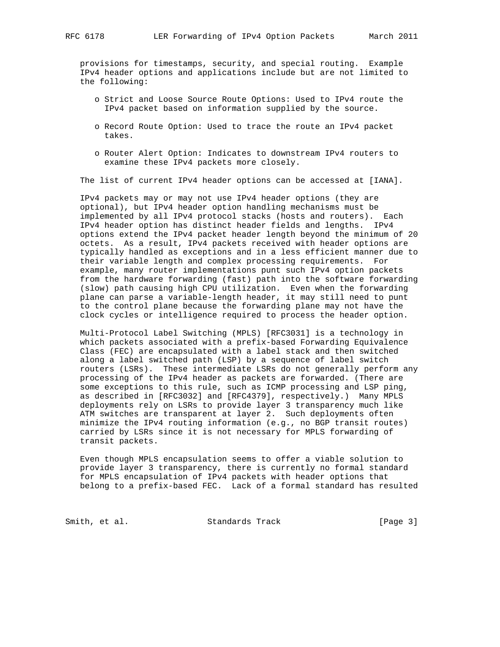provisions for timestamps, security, and special routing. Example IPv4 header options and applications include but are not limited to the following:

- o Strict and Loose Source Route Options: Used to IPv4 route the IPv4 packet based on information supplied by the source.
- o Record Route Option: Used to trace the route an IPv4 packet takes.
- o Router Alert Option: Indicates to downstream IPv4 routers to examine these IPv4 packets more closely.

The list of current IPv4 header options can be accessed at [IANA].

 IPv4 packets may or may not use IPv4 header options (they are optional), but IPv4 header option handling mechanisms must be implemented by all IPv4 protocol stacks (hosts and routers). Each IPv4 header option has distinct header fields and lengths. IPv4 options extend the IPv4 packet header length beyond the minimum of 20 octets. As a result, IPv4 packets received with header options are typically handled as exceptions and in a less efficient manner due to their variable length and complex processing requirements. For example, many router implementations punt such IPv4 option packets from the hardware forwarding (fast) path into the software forwarding (slow) path causing high CPU utilization. Even when the forwarding plane can parse a variable-length header, it may still need to punt to the control plane because the forwarding plane may not have the clock cycles or intelligence required to process the header option.

 Multi-Protocol Label Switching (MPLS) [RFC3031] is a technology in which packets associated with a prefix-based Forwarding Equivalence Class (FEC) are encapsulated with a label stack and then switched along a label switched path (LSP) by a sequence of label switch routers (LSRs). These intermediate LSRs do not generally perform any processing of the IPv4 header as packets are forwarded. (There are some exceptions to this rule, such as ICMP processing and LSP ping, as described in [RFC3032] and [RFC4379], respectively.) Many MPLS deployments rely on LSRs to provide layer 3 transparency much like ATM switches are transparent at layer 2. Such deployments often minimize the IPv4 routing information (e.g., no BGP transit routes) carried by LSRs since it is not necessary for MPLS forwarding of transit packets.

 Even though MPLS encapsulation seems to offer a viable solution to provide layer 3 transparency, there is currently no formal standard for MPLS encapsulation of IPv4 packets with header options that belong to a prefix-based FEC. Lack of a formal standard has resulted

Smith, et al. Standards Track [Page 3]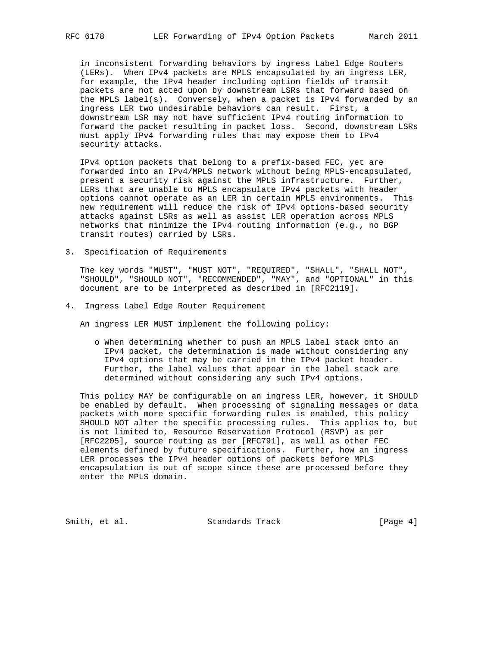in inconsistent forwarding behaviors by ingress Label Edge Routers (LERs). When IPv4 packets are MPLS encapsulated by an ingress LER, for example, the IPv4 header including option fields of transit packets are not acted upon by downstream LSRs that forward based on the MPLS label(s). Conversely, when a packet is IPv4 forwarded by an ingress LER two undesirable behaviors can result. First, a downstream LSR may not have sufficient IPv4 routing information to forward the packet resulting in packet loss. Second, downstream LSRs must apply IPv4 forwarding rules that may expose them to IPv4 security attacks.

 IPv4 option packets that belong to a prefix-based FEC, yet are forwarded into an IPv4/MPLS network without being MPLS-encapsulated, present a security risk against the MPLS infrastructure. Further, LERs that are unable to MPLS encapsulate IPv4 packets with header options cannot operate as an LER in certain MPLS environments. This new requirement will reduce the risk of IPv4 options-based security attacks against LSRs as well as assist LER operation across MPLS networks that minimize the IPv4 routing information (e.g., no BGP transit routes) carried by LSRs.

3. Specification of Requirements

 The key words "MUST", "MUST NOT", "REQUIRED", "SHALL", "SHALL NOT", "SHOULD", "SHOULD NOT", "RECOMMENDED", "MAY", and "OPTIONAL" in this document are to be interpreted as described in [RFC2119].

4. Ingress Label Edge Router Requirement

An ingress LER MUST implement the following policy:

 o When determining whether to push an MPLS label stack onto an IPv4 packet, the determination is made without considering any IPv4 options that may be carried in the IPv4 packet header. Further, the label values that appear in the label stack are determined without considering any such IPv4 options.

 This policy MAY be configurable on an ingress LER, however, it SHOULD be enabled by default. When processing of signaling messages or data packets with more specific forwarding rules is enabled, this policy SHOULD NOT alter the specific processing rules. This applies to, but is not limited to, Resource Reservation Protocol (RSVP) as per [RFC2205], source routing as per [RFC791], as well as other FEC elements defined by future specifications. Further, how an ingress LER processes the IPv4 header options of packets before MPLS encapsulation is out of scope since these are processed before they enter the MPLS domain.

Smith, et al. Standards Track [Page 4]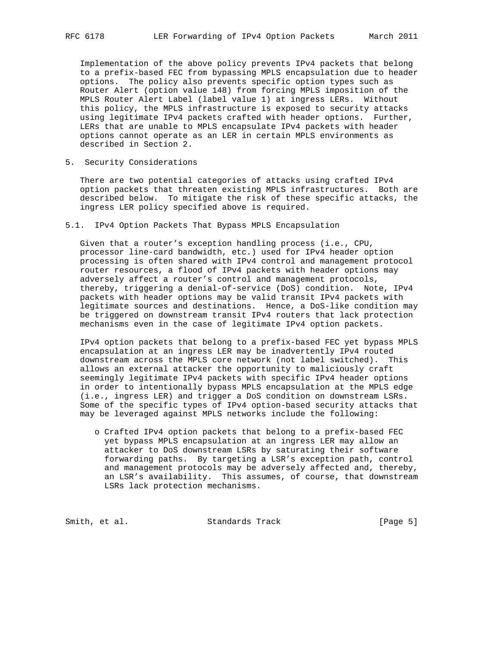Implementation of the above policy prevents IPv4 packets that belong to a prefix-based FEC from bypassing MPLS encapsulation due to header options. The policy also prevents specific option types such as Router Alert (option value 148) from forcing MPLS imposition of the MPLS Router Alert Label (label value 1) at ingress LERs. Without this policy, the MPLS infrastructure is exposed to security attacks using legitimate IPv4 packets crafted with header options. Further, LERs that are unable to MPLS encapsulate IPv4 packets with header options cannot operate as an LER in certain MPLS environments as described in Section 2.

5. Security Considerations

 There are two potential categories of attacks using crafted IPv4 option packets that threaten existing MPLS infrastructures. Both are described below. To mitigate the risk of these specific attacks, the ingress LER policy specified above is required.

# 5.1. IPv4 Option Packets That Bypass MPLS Encapsulation

 Given that a router's exception handling process (i.e., CPU, processor line-card bandwidth, etc.) used for IPv4 header option processing is often shared with IPv4 control and management protocol router resources, a flood of IPv4 packets with header options may adversely affect a router's control and management protocols, thereby, triggering a denial-of-service (DoS) condition. Note, IPv4 packets with header options may be valid transit IPv4 packets with legitimate sources and destinations. Hence, a DoS-like condition may be triggered on downstream transit IPv4 routers that lack protection mechanisms even in the case of legitimate IPv4 option packets.

 IPv4 option packets that belong to a prefix-based FEC yet bypass MPLS encapsulation at an ingress LER may be inadvertently IPv4 routed downstream across the MPLS core network (not label switched). This allows an external attacker the opportunity to maliciously craft seemingly legitimate IPv4 packets with specific IPv4 header options in order to intentionally bypass MPLS encapsulation at the MPLS edge (i.e., ingress LER) and trigger a DoS condition on downstream LSRs. Some of the specific types of IPv4 option-based security attacks that may be leveraged against MPLS networks include the following:

 o Crafted IPv4 option packets that belong to a prefix-based FEC yet bypass MPLS encapsulation at an ingress LER may allow an attacker to DoS downstream LSRs by saturating their software forwarding paths. By targeting a LSR's exception path, control and management protocols may be adversely affected and, thereby, an LSR's availability. This assumes, of course, that downstream LSRs lack protection mechanisms.

Smith, et al. Standards Track [Page 5]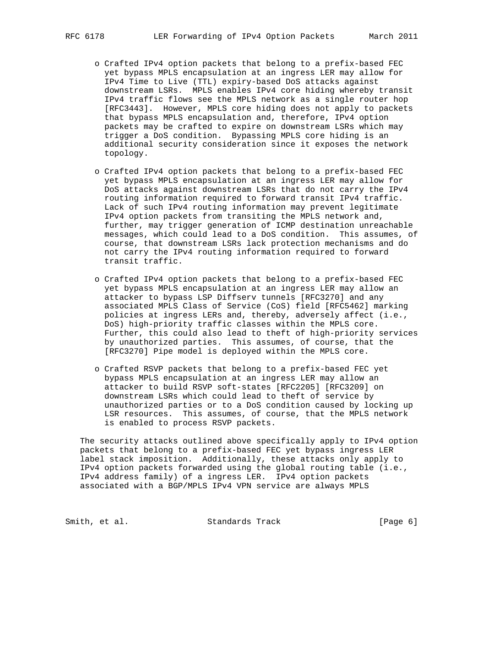- o Crafted IPv4 option packets that belong to a prefix-based FEC yet bypass MPLS encapsulation at an ingress LER may allow for IPv4 Time to Live (TTL) expiry-based DoS attacks against downstream LSRs. MPLS enables IPv4 core hiding whereby transit IPv4 traffic flows see the MPLS network as a single router hop [RFC3443]. However, MPLS core hiding does not apply to packets that bypass MPLS encapsulation and, therefore, IPv4 option packets may be crafted to expire on downstream LSRs which may trigger a DoS condition. Bypassing MPLS core hiding is an additional security consideration since it exposes the network topology.
- o Crafted IPv4 option packets that belong to a prefix-based FEC yet bypass MPLS encapsulation at an ingress LER may allow for DoS attacks against downstream LSRs that do not carry the IPv4 routing information required to forward transit IPv4 traffic. Lack of such IPv4 routing information may prevent legitimate IPv4 option packets from transiting the MPLS network and, further, may trigger generation of ICMP destination unreachable messages, which could lead to a DoS condition. This assumes, of course, that downstream LSRs lack protection mechanisms and do not carry the IPv4 routing information required to forward transit traffic.
- o Crafted IPv4 option packets that belong to a prefix-based FEC yet bypass MPLS encapsulation at an ingress LER may allow an attacker to bypass LSP Diffserv tunnels [RFC3270] and any associated MPLS Class of Service (CoS) field [RFC5462] marking policies at ingress LERs and, thereby, adversely affect (i.e., DoS) high-priority traffic classes within the MPLS core. Further, this could also lead to theft of high-priority services by unauthorized parties. This assumes, of course, that the [RFC3270] Pipe model is deployed within the MPLS core.
- o Crafted RSVP packets that belong to a prefix-based FEC yet bypass MPLS encapsulation at an ingress LER may allow an attacker to build RSVP soft-states [RFC2205] [RFC3209] on downstream LSRs which could lead to theft of service by unauthorized parties or to a DoS condition caused by locking up LSR resources. This assumes, of course, that the MPLS network is enabled to process RSVP packets.

 The security attacks outlined above specifically apply to IPv4 option packets that belong to a prefix-based FEC yet bypass ingress LER label stack imposition. Additionally, these attacks only apply to IPv4 option packets forwarded using the global routing table (i.e., IPv4 address family) of a ingress LER. IPv4 option packets associated with a BGP/MPLS IPv4 VPN service are always MPLS

Smith, et al. Standards Track [Page 6]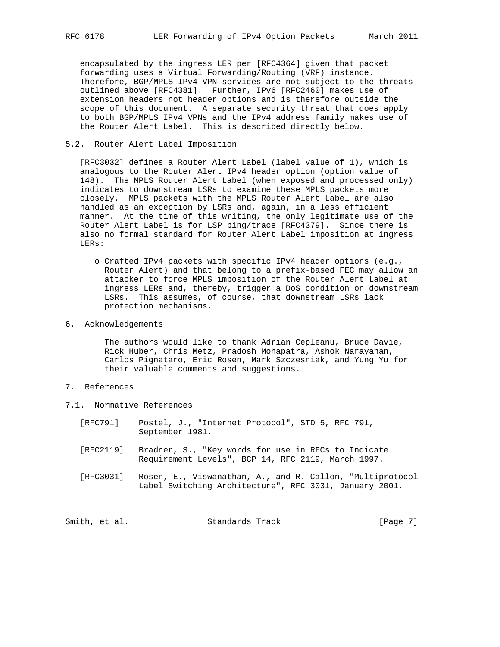encapsulated by the ingress LER per [RFC4364] given that packet forwarding uses a Virtual Forwarding/Routing (VRF) instance. Therefore, BGP/MPLS IPv4 VPN services are not subject to the threats outlined above [RFC4381]. Further, IPv6 [RFC2460] makes use of extension headers not header options and is therefore outside the scope of this document. A separate security threat that does apply to both BGP/MPLS IPv4 VPNs and the IPv4 address family makes use of the Router Alert Label. This is described directly below.

# 5.2. Router Alert Label Imposition

 [RFC3032] defines a Router Alert Label (label value of 1), which is analogous to the Router Alert IPv4 header option (option value of 148). The MPLS Router Alert Label (when exposed and processed only) indicates to downstream LSRs to examine these MPLS packets more closely. MPLS packets with the MPLS Router Alert Label are also handled as an exception by LSRs and, again, in a less efficient manner. At the time of this writing, the only legitimate use of the Router Alert Label is for LSP ping/trace [RFC4379]. Since there is also no formal standard for Router Alert Label imposition at ingress LERs:

- o Crafted IPv4 packets with specific IPv4 header options (e.g., Router Alert) and that belong to a prefix-based FEC may allow an attacker to force MPLS imposition of the Router Alert Label at ingress LERs and, thereby, trigger a DoS condition on downstream LSRs. This assumes, of course, that downstream LSRs lack protection mechanisms.
- 6. Acknowledgements

 The authors would like to thank Adrian Cepleanu, Bruce Davie, Rick Huber, Chris Metz, Pradosh Mohapatra, Ashok Narayanan, Carlos Pignataro, Eric Rosen, Mark Szczesniak, and Yung Yu for their valuable comments and suggestions.

- 7. References
- 7.1. Normative References
	- [RFC791] Postel, J., "Internet Protocol", STD 5, RFC 791, September 1981.
	- [RFC2119] Bradner, S., "Key words for use in RFCs to Indicate Requirement Levels", BCP 14, RFC 2119, March 1997.
	- [RFC3031] Rosen, E., Viswanathan, A., and R. Callon, "Multiprotocol Label Switching Architecture", RFC 3031, January 2001.

|  | Smith, et al. | Standards Track | [Page 7] |  |
|--|---------------|-----------------|----------|--|
|--|---------------|-----------------|----------|--|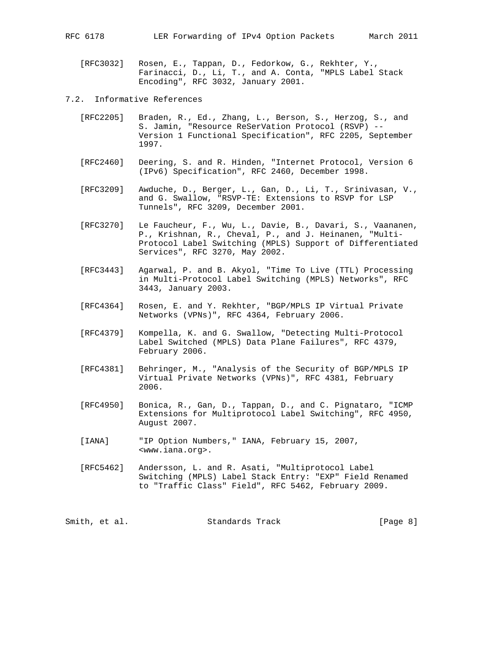RFC 6178 LER Forwarding of IPv4 Option Packets March 2011

 [RFC3032] Rosen, E., Tappan, D., Fedorkow, G., Rekhter, Y., Farinacci, D., Li, T., and A. Conta, "MPLS Label Stack Encoding", RFC 3032, January 2001.

- 7.2. Informative References
	- [RFC2205] Braden, R., Ed., Zhang, L., Berson, S., Herzog, S., and S. Jamin, "Resource ReSerVation Protocol (RSVP) -- Version 1 Functional Specification", RFC 2205, September 1997.
	- [RFC2460] Deering, S. and R. Hinden, "Internet Protocol, Version 6 (IPv6) Specification", RFC 2460, December 1998.
	- [RFC3209] Awduche, D., Berger, L., Gan, D., Li, T., Srinivasan, V., and G. Swallow, "RSVP-TE: Extensions to RSVP for LSP Tunnels", RFC 3209, December 2001.
	- [RFC3270] Le Faucheur, F., Wu, L., Davie, B., Davari, S., Vaananen, P., Krishnan, R., Cheval, P., and J. Heinanen, "Multi- Protocol Label Switching (MPLS) Support of Differentiated Services", RFC 3270, May 2002.
	- [RFC3443] Agarwal, P. and B. Akyol, "Time To Live (TTL) Processing in Multi-Protocol Label Switching (MPLS) Networks", RFC 3443, January 2003.
	- [RFC4364] Rosen, E. and Y. Rekhter, "BGP/MPLS IP Virtual Private Networks (VPNs)", RFC 4364, February 2006.
	- [RFC4379] Kompella, K. and G. Swallow, "Detecting Multi-Protocol Label Switched (MPLS) Data Plane Failures", RFC 4379, February 2006.
	- [RFC4381] Behringer, M., "Analysis of the Security of BGP/MPLS IP Virtual Private Networks (VPNs)", RFC 4381, February 2006.
	- [RFC4950] Bonica, R., Gan, D., Tappan, D., and C. Pignataro, "ICMP Extensions for Multiprotocol Label Switching", RFC 4950, August 2007.
	- [IANA] "IP Option Numbers," IANA, February 15, 2007, <www.iana.org>.
	- [RFC5462] Andersson, L. and R. Asati, "Multiprotocol Label Switching (MPLS) Label Stack Entry: "EXP" Field Renamed to "Traffic Class" Field", RFC 5462, February 2009.

Smith, et al. Standards Track [Page 8]